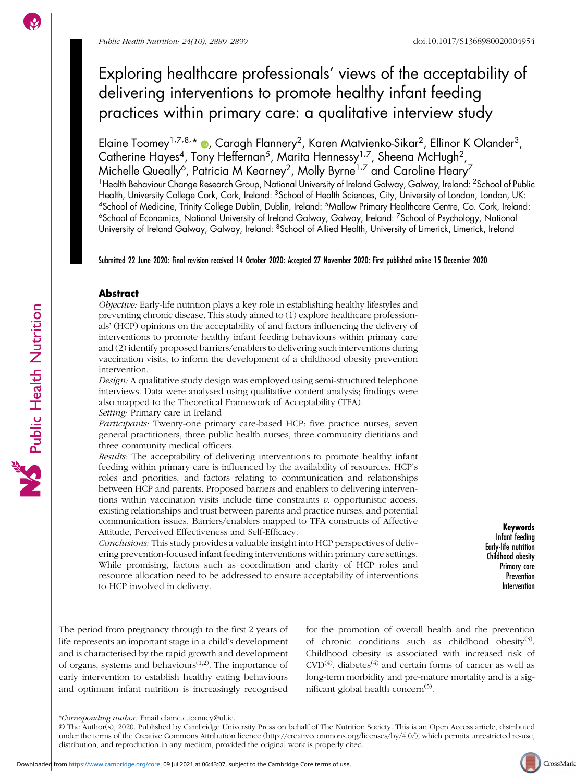# Exploring healthcare professionals' views of the acceptability of delivering interventions to promote healthy infant feeding practices within primary care: a qualitative interview study

Elaine Toomey<sup>1,7,8,</sup>\* ®, Caragh Flannery<sup>2</sup>, Karen Matvienko-Sikar<sup>2</sup>, Ellinor K Olander<sup>3</sup>, Catherine Hayes<sup>4</sup>, Tony Heffernan<sup>5</sup>, Marita Hennessy<sup>1,7</sup>, Sheena McHugh<sup>2</sup>, Michelle Queally<sup>6</sup>, Patricia M Kearney<sup>2</sup>, Molly Byrne<sup>1,7</sup> and Caroline Heary<sup>7</sup> <sup>1</sup>Health Behaviour Change Research Group, National University of Ireland Galway, Galway, Ireland: <sup>2</sup>School of Public Health, University College Cork, Cork, Ireland: <sup>3</sup>School of Health Sciences, City, University of London, London, UK: 4School of Medicine, Trinity College Dublin, Dublin, Ireland: 5Mallow Primary Healthcare Centre, Co. Cork, Ireland: <sup>6</sup>School of Economics, National University of Ireland Galway, Galway, Ireland: <sup>7</sup>School of Psychology, National University of Ireland Galway, Galway, Ireland: 8School of Allied Health, University of Limerick, Limerick, Ireland

Submitted 22 June 2020: Final revision received 14 October 2020: Accepted 27 November 2020: First published online 15 December 2020

# Abstract

Objective: Early-life nutrition plays a key role in establishing healthy lifestyles and preventing chronic disease. This study aimed to (1) explore healthcare professionals' (HCP) opinions on the acceptability of and factors influencing the delivery of interventions to promote healthy infant feeding behaviours within primary care and (2) identify proposed barriers/enablers to delivering such interventions during vaccination visits, to inform the development of a childhood obesity prevention intervention.

Design: A qualitative study design was employed using semi-structured telephone interviews. Data were analysed using qualitative content analysis; findings were also mapped to the Theoretical Framework of Acceptability (TFA).

Setting: Primary care in Ireland

Participants: Twenty-one primary care-based HCP: five practice nurses, seven general practitioners, three public health nurses, three community dietitians and three community medical officers.

Results: The acceptability of delivering interventions to promote healthy infant feeding within primary care is influenced by the availability of resources, HCP's roles and priorities, and factors relating to communication and relationships between HCP and parents. Proposed barriers and enablers to delivering interventions within vaccination visits include time constraints  $v$ . opportunistic access, existing relationships and trust between parents and practice nurses, and potential communication issues. Barriers/enablers mapped to TFA constructs of Affective Attitude, Perceived Effectiveness and Self-Efficacy.

Conclusions: This study provides a valuable insight into HCP perspectives of delivering prevention-focused infant feeding interventions within primary care settings. While promising, factors such as coordination and clarity of HCP roles and resource allocation need to be addressed to ensure acceptability of interventions to HCP involved in delivery.

Keywords Infant feeding Early-life nutrition Childhood obesity Primary care **Prevention** Intervention

The period from pregnancy through to the first 2 years of life represents an important stage in a child's development and is characterised by the rapid growth and development of organs, systems and behaviours $(1,2)$ . The importance of early intervention to establish healthy eating behaviours and optimum infant nutrition is increasingly recognised for the promotion of overall health and the prevention of chronic conditions such as childhood obesity $(3)$  $(3)$  $(3)$ . Childhood obesity is associated with increased risk of  $CVD^{(4)}$  $CVD^{(4)}$  $CVD^{(4)}$ , diabetes<sup>(4)</sup> and certain forms of cancer as well as long-term morbidity and pre-mature mortality and is a significant global health concern $(5)$  $(5)$  $(5)$ .



<sup>\*</sup>Corresponding author: Email elaine.c.toomey@ul.ie.

<sup>©</sup> The Author(s), 2020. Published by Cambridge University Press on behalf of The Nutrition Society. This is an Open Access article, distributed under the terms of the Creative Commons Attribution licence (<http://creativecommons.org/licenses/by/4.0/>), which permits unrestricted re-use, distribution, and reproduction in any medium, provided the original work is properly cited.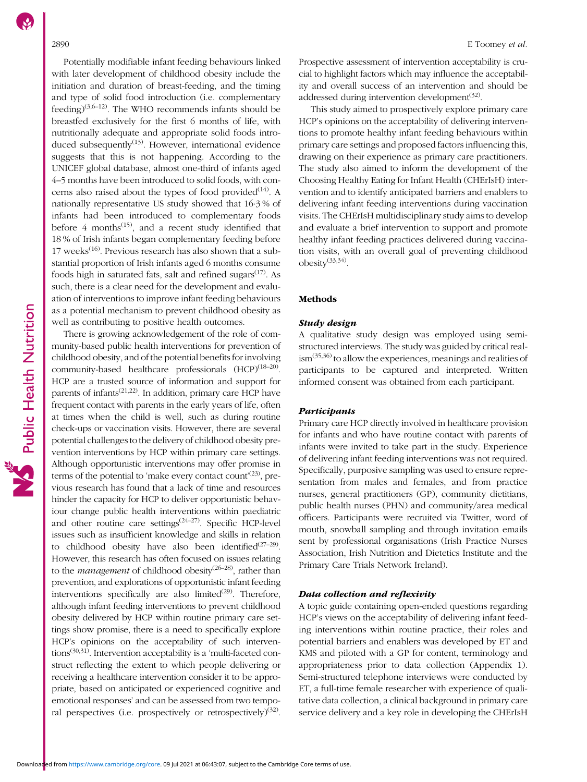Potentially modifiable infant feeding behaviours linked with later development of childhood obesity include the initiation and duration of breast-feeding, and the timing and type of solid food introduction (i.e. complementary feeding)<sup>[\(3,6](#page-8-0)–[12](#page-8-0))</sup>. The WHO recommends infants should be breastfed exclusively for the first 6 months of life, with nutritionally adequate and appropriate solid foods introduced subsequently $(13)$  $(13)$ . However, international evidence suggests that this is not happening. According to the UNICEF global database, almost one-third of infants aged 4–5 months have been introduced to solid foods, with concerns also raised about the types of food provided<sup> $(14)$  $(14)$  $(14)$ </sup>. A nationally representative US study showed that 16·3 % of infants had been introduced to complementary foods before  $4$  months<sup> $(15)$ </sup>, and a recent study identified that 18 % of Irish infants began complementary feeding before 17 weeks<sup> $(16)$  $(16)$ </sup>. Previous research has also shown that a substantial proportion of Irish infants aged 6 months consume foods high in saturated fats, salt and refined sugars $(17)$  $(17)$  $(17)$ . As such, there is a clear need for the development and evaluation of interventions to improve infant feeding behaviours as a potential mechanism to prevent childhood obesity as well as contributing to positive health outcomes.

There is growing acknowledgement of the role of community-based public health interventions for prevention of childhood obesity, and of the potential benefits for involving community-based healthcare professionals (HCP)<sup>([18](#page-9-0)–[20](#page-9-0))</sup>. HCP are a trusted source of information and support for parents of infants<sup> $(21,22)$  $(21,22)$  $(21,22)$ </sup>. In addition, primary care HCP have frequent contact with parents in the early years of life, often at times when the child is well, such as during routine check-ups or vaccination visits. However, there are several potential challenges to the delivery of childhood obesity prevention interventions by HCP within primary care settings. Although opportunistic interventions may offer promise in terms of the potential to 'make every contact count'<sup>[\(23\)](#page-9-0)</sup>, previous research has found that a lack of time and resources hinder the capacity for HCP to deliver opportunistic behaviour change public health interventions within paediatric and other routine care settings $(24-27)$  $(24-27)$  $(24-27)$  $(24-27)$ . Specific HCP-level issues such as insufficient knowledge and skills in relation to childhood obesity have also been identified $(27-29)$  $(27-29)$  $(27-29)$  $(27-29)$  $(27-29)$ . However, this research has often focused on issues relating to the *management* of childhood obesity<sup>([26](#page-9-0)–[28](#page-9-0))</sup>, rather than prevention, and explorations of opportunistic infant feeding interventions specifically are also limited<sup> $(29)$  $(29)$ </sup>. Therefore, although infant feeding interventions to prevent childhood obesity delivered by HCP within routine primary care settings show promise, there is a need to specifically explore HCP's opinions on the acceptability of such interventions<sup> $(30,31)$  $(30,31)$  $(30,31)$  $(30,31)$  $(30,31)$ </sup>. Intervention acceptability is a 'multi-faceted construct reflecting the extent to which people delivering or receiving a healthcare intervention consider it to be appropriate, based on anticipated or experienced cognitive and emotional responses' and can be assessed from two temporal perspectives (i.e. prospectively or retrospectively) $(32)$  $(32)$  $(32)$ .

Prospective assessment of intervention acceptability is crucial to highlight factors which may influence the acceptability and overall success of an intervention and should be addressed during intervention development $(32)$  $(32)$ .

This study aimed to prospectively explore primary care HCP's opinions on the acceptability of delivering interventions to promote healthy infant feeding behaviours within primary care settings and proposed factors influencing this, drawing on their experience as primary care practitioners. The study also aimed to inform the development of the Choosing Healthy Eating for Infant Health (CHErIsH) intervention and to identify anticipated barriers and enablers to delivering infant feeding interventions during vaccination visits. The CHErIsH multidisciplinary study aims to develop and evaluate a brief intervention to support and promote healthy infant feeding practices delivered during vaccination visits, with an overall goal of preventing childhood  $obesity$ <sup> $(33,34)$  $(33,34)$ </sup>.

### Methods

### Study design

A qualitative study design was employed using semistructured interviews. The study was guided by critical real- $\lim^{(35,36)}$  $\lim^{(35,36)}$  $\lim^{(35,36)}$  $\lim^{(35,36)}$  $\lim^{(35,36)}$  to allow the experiences, meanings and realities of participants to be captured and interpreted. Written informed consent was obtained from each participant.

#### **Participants**

Primary care HCP directly involved in healthcare provision for infants and who have routine contact with parents of infants were invited to take part in the study. Experience of delivering infant feeding interventions was not required. Specifically, purposive sampling was used to ensure representation from males and females, and from practice nurses, general practitioners (GP), community dietitians, public health nurses (PHN) and community/area medical officers. Participants were recruited via Twitter, word of mouth, snowball sampling and through invitation emails sent by professional organisations (Irish Practice Nurses Association, Irish Nutrition and Dietetics Institute and the Primary Care Trials Network Ireland).

#### Data collection and reflexivity

A topic guide containing open-ended questions regarding HCP's views on the acceptability of delivering infant feeding interventions within routine practice, their roles and potential barriers and enablers was developed by ET and KMS and piloted with a GP for content, terminology and appropriateness prior to data collection (Appendix 1). Semi-structured telephone interviews were conducted by ET, a full-time female researcher with experience of qualitative data collection, a clinical background in primary care service delivery and a key role in developing the CHErIsH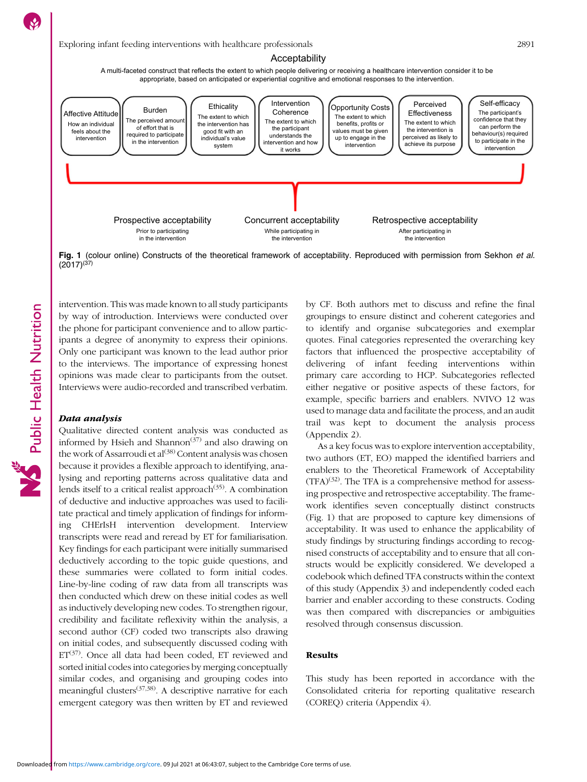

# Exploring infant feeding interventions with healthcare professionals 2891

#### Acceptability

A multi-faceted construct that reflects the extent to which people delivering or receiving a healthcare intervention consider it to be appropriate, based on anticipated or experiential cognitive and emotional responses to the intervention.



Fig. 1 (colour online) Constructs of the theoretical framework of acceptability. Reproduced with permission from Sekhon et al.  $(2017)^{(37)}$  $(2017)^{(37)}$  $(2017)^{(37)}$ 

intervention. This was made known to all study participants by way of introduction. Interviews were conducted over the phone for participant convenience and to allow participants a degree of anonymity to express their opinions. Only one participant was known to the lead author prior to the interviews. The importance of expressing honest opinions was made clear to participants from the outset. Interviews were audio-recorded and transcribed verbatim.

#### Data analysis

Public Health Nutrition

Qualitative directed content analysis was conducted as informed by Hsieh and Shannon<sup> $(37)$  $(37)$  $(37)$ </sup> and also drawing on the work of Assarroudi et  $al^{(38)}$  $al^{(38)}$  $al^{(38)}$  Content analysis was chosen because it provides a flexible approach to identifying, analysing and reporting patterns across qualitative data and lends itself to a critical realist approach<sup> $(35)$  $(35)$ </sup>. A combination of deductive and inductive approaches was used to facilitate practical and timely application of findings for informing CHErIsH intervention development. Interview transcripts were read and reread by ET for familiarisation. Key findings for each participant were initially summarised deductively according to the topic guide questions, and these summaries were collated to form initial codes. Line-by-line coding of raw data from all transcripts was then conducted which drew on these initial codes as well as inductively developing new codes. To strengthen rigour, credibility and facilitate reflexivity within the analysis, a second author (CF) coded two transcripts also drawing on initial codes, and subsequently discussed coding with  $ET^{(37)}$  $ET^{(37)}$  $ET^{(37)}$ . Once all data had been coded, ET reviewed and sorted initial codes into categories by merging conceptually similar codes, and organising and grouping codes into meaningful clusters([37](#page-9-0),[38\)](#page-9-0). A descriptive narrative for each emergent category was then written by ET and reviewed by CF. Both authors met to discuss and refine the final groupings to ensure distinct and coherent categories and to identify and organise subcategories and exemplar quotes. Final categories represented the overarching key factors that influenced the prospective acceptability of delivering of infant feeding interventions within primary care according to HCP. Subcategories reflected either negative or positive aspects of these factors, for example, specific barriers and enablers. NVIVO 12 was used to manage data and facilitate the process, and an audit trail was kept to document the analysis process (Appendix 2).

As a key focus was to explore intervention acceptability, two authors (ET, EO) mapped the identified barriers and enablers to the Theoretical Framework of Acceptability  $(TFA)^{(32)}$  $(TFA)^{(32)}$  $(TFA)^{(32)}$ . The TFA is a comprehensive method for assessing prospective and retrospective acceptability. The framework identifies seven conceptually distinct constructs (Fig. 1) that are proposed to capture key dimensions of acceptability. It was used to enhance the applicability of study findings by structuring findings according to recognised constructs of acceptability and to ensure that all constructs would be explicitly considered. We developed a codebook which defined TFA constructs within the context of this study (Appendix 3) and independently coded each barrier and enabler according to these constructs. Coding was then compared with discrepancies or ambiguities resolved through consensus discussion.

# Results

This study has been reported in accordance with the Consolidated criteria for reporting qualitative research (COREQ) criteria (Appendix 4).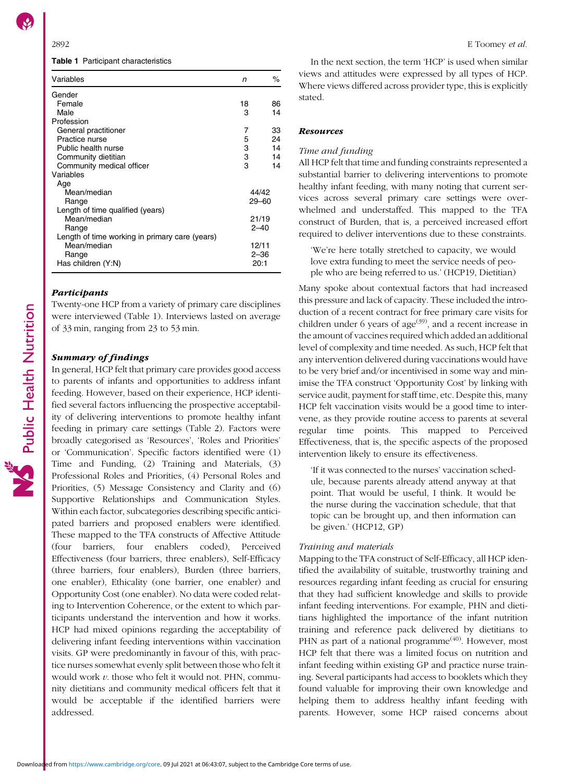Table 1 Participant characteristics

| Variables                                      | n     | ℅        |
|------------------------------------------------|-------|----------|
| Gender                                         |       |          |
| Female                                         | 18    | 86       |
| Male                                           | 3     | 14       |
| Profession                                     |       |          |
| General practitioner                           | 7     | 33       |
| Practice nurse                                 | 5     | 24       |
| Public health nurse                            | 3     | 14       |
| Community dietitian                            | 3     | 14       |
| Community medical officer                      | 3     | 14       |
| Variables                                      |       |          |
| Age                                            |       |          |
| Mean/median                                    | 44/42 |          |
| Range                                          | 29–60 |          |
| Length of time qualified (years)               |       |          |
| Mean/median                                    | 21/19 |          |
| Range                                          |       | $2 - 40$ |
| Length of time working in primary care (years) |       |          |
| Mean/median                                    |       | 12/11    |
| Range                                          |       | $2 - 36$ |
| Has children (Y:N)                             | 20:1  |          |

# Participants

Twenty-one HCP from a variety of primary care disciplines were interviewed (Table 1). Interviews lasted on average of 33 min, ranging from 23 to 53 min.

### Summary of findings

In general, HCP felt that primary care provides good access to parents of infants and opportunities to address infant feeding. However, based on their experience, HCP identified several factors influencing the prospective acceptability of delivering interventions to promote healthy infant feeding in primary care settings (Table [2](#page-4-0)). Factors were broadly categorised as 'Resources', 'Roles and Priorities' or 'Communication'. Specific factors identified were (1) Time and Funding, (2) Training and Materials, (3) Professional Roles and Priorities, (4) Personal Roles and Priorities, (5) Message Consistency and Clarity and (6) Supportive Relationships and Communication Styles. Within each factor, subcategories describing specific anticipated barriers and proposed enablers were identified. These mapped to the TFA constructs of Affective Attitude (four barriers, four enablers coded), Perceived Effectiveness (four barriers, three enablers), Self-Efficacy (three barriers, four enablers), Burden (three barriers, one enabler), Ethicality (one barrier, one enabler) and Opportunity Cost (one enabler). No data were coded relating to Intervention Coherence, or the extent to which participants understand the intervention and how it works. HCP had mixed opinions regarding the acceptability of delivering infant feeding interventions within vaccination visits. GP were predominantly in favour of this, with practice nurses somewhat evenly split between those who felt it would work  $v$ . those who felt it would not. PHN, community dietitians and community medical officers felt that it would be acceptable if the identified barriers were addressed.

In the next section, the term 'HCP' is used when similar views and attitudes were expressed by all types of HCP. Where views differed across provider type, this is explicitly stated.

#### **Resources**

#### Time and funding

All HCP felt that time and funding constraints represented a substantial barrier to delivering interventions to promote healthy infant feeding, with many noting that current services across several primary care settings were overwhelmed and understaffed. This mapped to the TFA construct of Burden, that is, a perceived increased effort required to deliver interventions due to these constraints.

'We're here totally stretched to capacity, we would love extra funding to meet the service needs of people who are being referred to us.' (HCP19, Dietitian)

Many spoke about contextual factors that had increased this pressure and lack of capacity. These included the introduction of a recent contract for free primary care visits for children under 6 years of age<sup> $(39)$  $(39)$  $(39)$ </sup>, and a recent increase in the amount of vaccines required which added an additional level of complexity and time needed. As such, HCP felt that any intervention delivered during vaccinations would have to be very brief and/or incentivised in some way and minimise the TFA construct 'Opportunity Cost' by linking with service audit, payment for staff time, etc. Despite this, many HCP felt vaccination visits would be a good time to intervene, as they provide routine access to parents at several regular time points. This mapped to Perceived Effectiveness, that is, the specific aspects of the proposed intervention likely to ensure its effectiveness.

'If it was connected to the nurses' vaccination schedule, because parents already attend anyway at that point. That would be useful, I think. It would be the nurse during the vaccination schedule, that that topic can be brought up, and then information can be given.' (HCP12, GP)

#### Training and materials

Mapping to the TFA construct of Self-Efficacy, all HCP identified the availability of suitable, trustworthy training and resources regarding infant feeding as crucial for ensuring that they had sufficient knowledge and skills to provide infant feeding interventions. For example, PHN and dietitians highlighted the importance of the infant nutrition training and reference pack delivered by dietitians to PHN as part of a national programme<sup>[\(40\)](#page-9-0)</sup>. However, most HCP felt that there was a limited focus on nutrition and infant feeding within existing GP and practice nurse training. Several participants had access to booklets which they found valuable for improving their own knowledge and helping them to address healthy infant feeding with parents. However, some HCP raised concerns about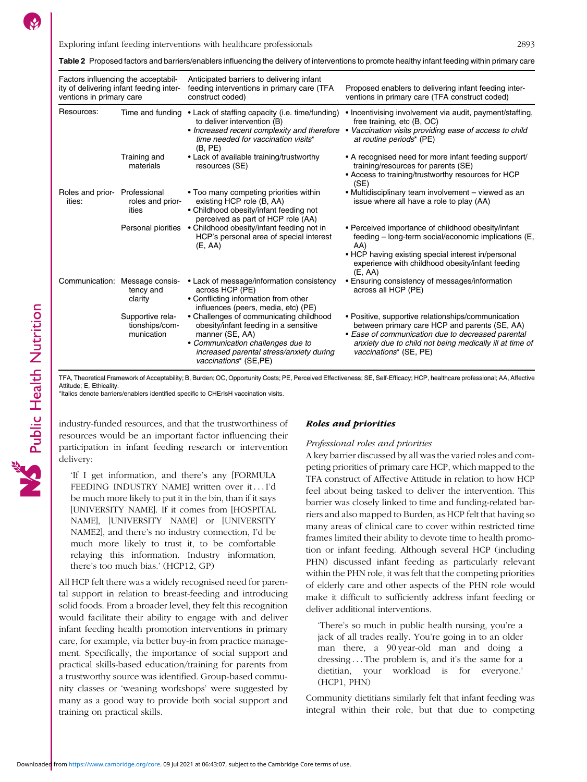<span id="page-4-0"></span>

| Factors influencing the acceptabil-<br>ity of delivering infant feeding inter-<br>ventions in primary care |                                                        | Anticipated barriers to delivering infant<br>feeding interventions in primary care (TFA<br>construct coded)                                                                                                   | Proposed enablers to delivering infant feeding inter-<br>ventions in primary care (TFA construct coded)                                                                                                                                       |
|------------------------------------------------------------------------------------------------------------|--------------------------------------------------------|---------------------------------------------------------------------------------------------------------------------------------------------------------------------------------------------------------------|-----------------------------------------------------------------------------------------------------------------------------------------------------------------------------------------------------------------------------------------------|
| Resources:                                                                                                 | Time and funding                                       | • Lack of staffing capacity (i.e. time/funding)<br>to deliver intervention (B)<br>time needed for vaccination visits*<br>(B, PE)                                                                              | • Incentivising involvement via audit, payment/staffing,<br>free training, etc (B, OC)<br>• Increased recent complexity and therefore • Vaccination visits providing ease of access to child<br>at routine periods* (PE)                      |
|                                                                                                            | Training and<br>materials                              | • Lack of available training/trustworthy<br>resources (SE)                                                                                                                                                    | • A recognised need for more infant feeding support/<br>training/resources for parents (SE)<br>• Access to training/trustworthy resources for HCP<br>(SE)                                                                                     |
| Roles and prior- Professional<br>ities:                                                                    | roles and prior-<br>ities                              | • Too many competing priorities within<br>existing HCP role (B, AA)<br>• Childhood obesity/infant feeding not<br>perceived as part of HCP role (AA)                                                           | • Multidisciplinary team involvement – viewed as an<br>issue where all have a role to play (AA)                                                                                                                                               |
|                                                                                                            |                                                        | Personal piorities • Childhood obesity/infant feeding not in<br>HCP's personal area of special interest<br>(E, AA)                                                                                            | • Perceived importance of childhood obesity/infant<br>feeding - long-term social/economic implications (E,<br>AA)<br>• HCP having existing special interest in/personal<br>experience with childhood obesity/infant feeding<br>(E, AA)        |
|                                                                                                            | Communication: Message consis-<br>tency and<br>clarity | • Lack of message/information consistency<br>across HCP (PE)<br>• Conflicting information from other<br>influences (peers, media, etc) (PE)                                                                   | • Ensuring consistency of messages/information<br>across all HCP (PE)                                                                                                                                                                         |
|                                                                                                            | Supportive rela-<br>tionships/com-<br>munication       | • Challenges of communicating childhood<br>obesity/infant feeding in a sensitive<br>manner (SE, AA)<br>• Communication challenges due to<br>increased parental stress/anxiety during<br>vaccinations* (SE,PE) | • Positive, supportive relationships/communication<br>between primary care HCP and parents (SE, AA)<br>· Ease of communication due to decreased parental<br>anxiety due to child not being medically ill at time of<br>vaccinations* (SE, PE) |

TFA, Theoretical Framework of Acceptability; B, Burden; OC, Opportunity Costs; PE, Perceived Effectiveness; SE, Self-Efficacy; HCP, healthcare professional; AA, Affective Attitude; E, Ethicality.

\*Italics denote barriers/enablers identified specific to CHErIsH vaccination visits.

industry-funded resources, and that the trustworthiness of resources would be an important factor influencing their participation in infant feeding research or intervention delivery:

'If I get information, and there's any [FORMULA FEEDING INDUSTRY NAME] written over it ... I'd be much more likely to put it in the bin, than if it says [UNIVERSITY NAME]. If it comes from [HOSPITAL NAME], [UNIVERSITY NAME] or [UNIVERSITY NAME2], and there's no industry connection, I'd be much more likely to trust it, to be comfortable relaying this information. Industry information, there's too much bias.' (HCP12, GP)

All HCP felt there was a widely recognised need for parental support in relation to breast-feeding and introducing solid foods. From a broader level, they felt this recognition would facilitate their ability to engage with and deliver infant feeding health promotion interventions in primary care, for example, via better buy-in from practice management. Specifically, the importance of social support and practical skills-based education/training for parents from a trustworthy source was identified. Group-based community classes or 'weaning workshops' were suggested by many as a good way to provide both social support and training on practical skills.

### Roles and priorities

#### Professional roles and priorities

A key barrier discussed by all was the varied roles and competing priorities of primary care HCP, which mapped to the TFA construct of Affective Attitude in relation to how HCP feel about being tasked to deliver the intervention. This barrier was closely linked to time and funding-related barriers and also mapped to Burden, as HCP felt that having so many areas of clinical care to cover within restricted time frames limited their ability to devote time to health promotion or infant feeding. Although several HCP (including PHN) discussed infant feeding as particularly relevant within the PHN role, it was felt that the competing priorities of elderly care and other aspects of the PHN role would make it difficult to sufficiently address infant feeding or deliver additional interventions.

'There's so much in public health nursing, you're a jack of all trades really. You're going in to an older man there, a 90 year-old man and doing a dressing ... The problem is, and it's the same for a dietitian, your workload is for everyone.' (HCP1, PHN)

Community dietitians similarly felt that infant feeding was integral within their role, but that due to competing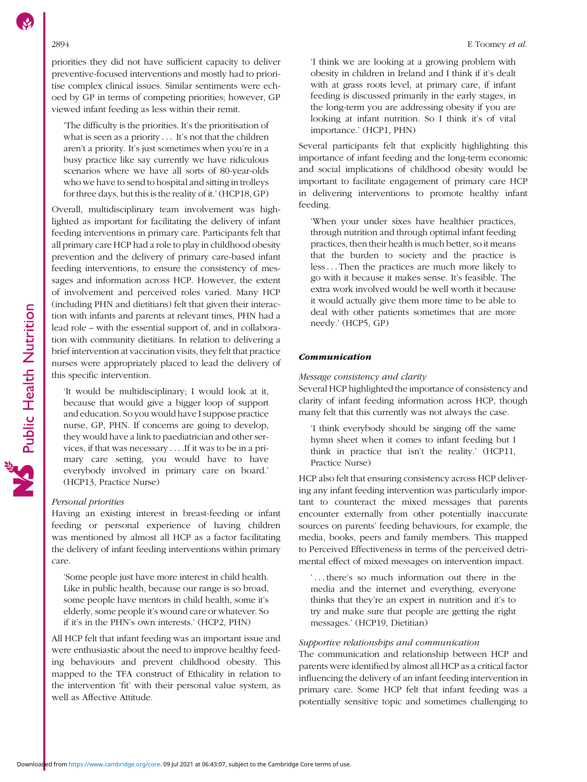### 2894 E Toomey et al.

priorities they did not have sufficient capacity to deliver preventive-focused interventions and mostly had to prioritise complex clinical issues. Similar sentiments were echoed by GP in terms of competing priorities; however, GP viewed infant feeding as less within their remit.

'The difficulty is the priorities. It's the prioritisation of what is seen as a priority . . . It's not that the children aren't a priority. It's just sometimes when you're in a busy practice like say currently we have ridiculous scenarios where we have all sorts of 80-year-olds who we have to send to hospital and sitting in trolleys for three days, but this is the reality of it.' (HCP18, GP)

Overall, multidisciplinary team involvement was highlighted as important for facilitating the delivery of infant feeding interventions in primary care. Participants felt that all primary care HCP had a role to play in childhood obesity prevention and the delivery of primary care-based infant feeding interventions, to ensure the consistency of messages and information across HCP. However, the extent of involvement and perceived roles varied. Many HCP (including PHN and dietitians) felt that given their interaction with infants and parents at relevant times, PHN had a lead role – with the essential support of, and in collaboration with community dietitians. In relation to delivering a brief intervention at vaccination visits, they felt that practice nurses were appropriately placed to lead the delivery of this specific intervention.

'It would be multidisciplinary; I would look at it, because that would give a bigger loop of support and education. So you would have I suppose practice nurse, GP, PHN. If concerns are going to develop, they would have a link to paediatrician and other services, if that was necessary . . . . If it was to be in a primary care setting, you would have to have everybody involved in primary care on board.' (HCP13, Practice Nurse)

# Personal priorities

Having an existing interest in breast-feeding or infant feeding or personal experience of having children was mentioned by almost all HCP as a factor facilitating the delivery of infant feeding interventions within primary care.

'Some people just have more interest in child health. Like in public health, because our range is so broad, some people have mentors in child health, some it's elderly, some people it's wound care or whatever. So if it's in the PHN's own interests.' (HCP2, PHN)

All HCP felt that infant feeding was an important issue and were enthusiastic about the need to improve healthy feeding behaviours and prevent childhood obesity. This mapped to the TFA construct of Ethicality in relation to the intervention 'fit' with their personal value system, as well as Affective Attitude.

'I think we are looking at a growing problem with obesity in children in Ireland and I think if it's dealt with at grass roots level, at primary care, if infant feeding is discussed primarily in the early stages, in the long-term you are addressing obesity if you are looking at infant nutrition. So I think it's of vital importance.' (HCP1, PHN)

Several participants felt that explicitly highlighting this importance of infant feeding and the long-term economic and social implications of childhood obesity would be important to facilitate engagement of primary care HCP in delivering interventions to promote healthy infant feeding.

'When your under sixes have healthier practices, through nutrition and through optimal infant feeding practices, then their health is much better, so it means that the burden to society and the practice is less::: Then the practices are much more likely to go with it because it makes sense. It's feasible. The extra work involved would be well worth it because it would actually give them more time to be able to deal with other patients sometimes that are more needy.' (HCP5, GP)

# Communication

# Message consistency and clarity

Several HCP highlighted the importance of consistency and clarity of infant feeding information across HCP, though many felt that this currently was not always the case.

'I think everybody should be singing off the same hymn sheet when it comes to infant feeding but I think in practice that isn't the reality.' (HCP11, Practice Nurse)

HCP also felt that ensuring consistency across HCP delivering any infant feeding intervention was particularly important to counteract the mixed messages that parents encounter externally from other potentially inaccurate sources on parents' feeding behaviours, for example, the media, books, peers and family members. This mapped to Perceived Effectiveness in terms of the perceived detrimental effect of mixed messages on intervention impact.

'...there's so much information out there in the media and the internet and everything, everyone thinks that they're an expert in nutrition and it's to try and make sure that people are getting the right messages.' (HCP19, Dietitian)

# Supportive relationships and communication

The communication and relationship between HCP and parents were identified by almost all HCP as a critical factor influencing the delivery of an infant feeding intervention in primary care. Some HCP felt that infant feeding was a potentially sensitive topic and sometimes challenging to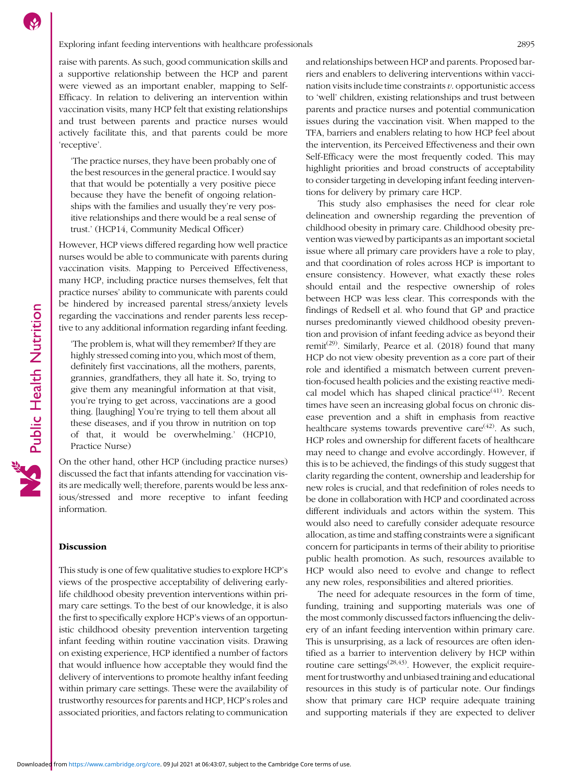### Exploring infant feeding interventions with healthcare professionals 2895

raise with parents. As such, good communication skills and a supportive relationship between the HCP and parent were viewed as an important enabler, mapping to Self-Efficacy. In relation to delivering an intervention within vaccination visits, many HCP felt that existing relationships and trust between parents and practice nurses would actively facilitate this, and that parents could be more 'receptive'.

'The practice nurses, they have been probably one of the best resources in the general practice. I would say that that would be potentially a very positive piece because they have the benefit of ongoing relationships with the families and usually they're very positive relationships and there would be a real sense of trust.' (HCP14, Community Medical Officer)

However, HCP views differed regarding how well practice nurses would be able to communicate with parents during vaccination visits. Mapping to Perceived Effectiveness, many HCP, including practice nurses themselves, felt that practice nurses' ability to communicate with parents could be hindered by increased parental stress/anxiety levels regarding the vaccinations and render parents less receptive to any additional information regarding infant feeding.

'The problem is, what will they remember? If they are highly stressed coming into you, which most of them, definitely first vaccinations, all the mothers, parents, grannies, grandfathers, they all hate it. So, trying to give them any meaningful information at that visit, you're trying to get across, vaccinations are a good thing. [laughing] You're trying to tell them about all these diseases, and if you throw in nutrition on top of that, it would be overwhelming.' (HCP10, Practice Nurse)

On the other hand, other HCP (including practice nurses) discussed the fact that infants attending for vaccination visits are medically well; therefore, parents would be less anxious/stressed and more receptive to infant feeding information.

#### **Discussion**

This study is one of few qualitative studies to explore HCP's views of the prospective acceptability of delivering earlylife childhood obesity prevention interventions within primary care settings. To the best of our knowledge, it is also the first to specifically explore HCP's views of an opportunistic childhood obesity prevention intervention targeting infant feeding within routine vaccination visits. Drawing on existing experience, HCP identified a number of factors that would influence how acceptable they would find the delivery of interventions to promote healthy infant feeding within primary care settings. These were the availability of trustworthy resources for parents and HCP, HCP's roles and associated priorities, and factors relating to communication and relationships between HCP and parents. Proposed barriers and enablers to delivering interventions within vaccination visits include time constraints  $v$ . opportunistic access to 'well' children, existing relationships and trust between parents and practice nurses and potential communication issues during the vaccination visit. When mapped to the TFA, barriers and enablers relating to how HCP feel about the intervention, its Perceived Effectiveness and their own Self-Efficacy were the most frequently coded. This may highlight priorities and broad constructs of acceptability to consider targeting in developing infant feeding interventions for delivery by primary care HCP.

This study also emphasises the need for clear role delineation and ownership regarding the prevention of childhood obesity in primary care. Childhood obesity prevention was viewed by participants as an important societal issue where all primary care providers have a role to play, and that coordination of roles across HCP is important to ensure consistency. However, what exactly these roles should entail and the respective ownership of roles between HCP was less clear. This corresponds with the findings of Redsell et al. who found that GP and practice nurses predominantly viewed childhood obesity prevention and provision of infant feeding advice as beyond their remit<sup>[\(29](#page-9-0))</sup>. Similarly, Pearce et al. (2018) found that many HCP do not view obesity prevention as a core part of their role and identified a mismatch between current prevention-focused health policies and the existing reactive medical model which has shaped clinical practice<sup> $(41)$ </sup>. Recent times have seen an increasing global focus on chronic disease prevention and a shift in emphasis from reactive healthcare systems towards preventive care $(42)$  $(42)$  $(42)$ . As such, HCP roles and ownership for different facets of healthcare may need to change and evolve accordingly. However, if this is to be achieved, the findings of this study suggest that clarity regarding the content, ownership and leadership for new roles is crucial, and that redefinition of roles needs to be done in collaboration with HCP and coordinated across different individuals and actors within the system. This would also need to carefully consider adequate resource allocation, as time and staffing constraints were a significant concern for participants in terms of their ability to prioritise public health promotion. As such, resources available to HCP would also need to evolve and change to reflect any new roles, responsibilities and altered priorities.

The need for adequate resources in the form of time, funding, training and supporting materials was one of the most commonly discussed factors influencing the delivery of an infant feeding intervention within primary care. This is unsurprising, as a lack of resources are often identified as a barrier to intervention delivery by HCP within routine care settings<sup> $(28,43)$  $(28,43)$  $(28,43)$  $(28,43)$ </sup>. However, the explicit requirement for trustworthy and unbiased training and educational resources in this study is of particular note. Our findings show that primary care HCP require adequate training and supporting materials if they are expected to deliver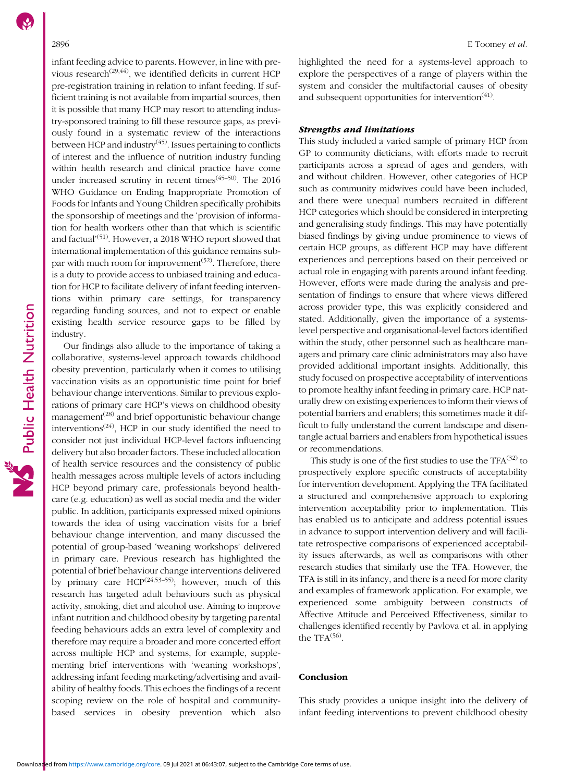infant feeding advice to parents. However, in line with previous research<sup> $(29,44)$  $(29,44)$ </sup>, we identified deficits in current HCP pre-registration training in relation to infant feeding. If sufficient training is not available from impartial sources, then it is possible that many HCP may resort to attending industry-sponsored training to fill these resource gaps, as previously found in a systematic review of the interactions between HCP and industry $(45)$  $(45)$ . Issues pertaining to conflicts of interest and the influence of nutrition industry funding within health research and clinical practice have come under increased scrutiny in recent times $(45-50)$  $(45-50)$  $(45-50)$ . The 2016 WHO Guidance on Ending Inappropriate Promotion of Foods for Infants and Young Children specifically prohibits the sponsorship of meetings and the 'provision of information for health workers other than that which is scientific and factual'<sup>([51](#page-10-0))</sup>. However, a 2018 WHO report showed that international implementation of this guidance remains subpar with much room for improvement<sup> $(52)$  $(52)$ </sup>. Therefore, there is a duty to provide access to unbiased training and education for HCP to facilitate delivery of infant feeding interventions within primary care settings, for transparency regarding funding sources, and not to expect or enable existing health service resource gaps to be filled by industry.

Our findings also allude to the importance of taking a collaborative, systems-level approach towards childhood obesity prevention, particularly when it comes to utilising vaccination visits as an opportunistic time point for brief behaviour change interventions. Similar to previous explorations of primary care HCP's views on childhood obesity management $(28)$  $(28)$  $(28)$  and brief opportunistic behaviour change interventions<sup> $(24)$  $(24)$ </sup>, HCP in our study identified the need to consider not just individual HCP-level factors influencing delivery but also broader factors. These included allocation of health service resources and the consistency of public health messages across multiple levels of actors including HCP beyond primary care, professionals beyond healthcare (e.g. education) as well as social media and the wider public. In addition, participants expressed mixed opinions towards the idea of using vaccination visits for a brief behaviour change intervention, and many discussed the potential of group-based 'weaning workshops' delivered in primary care. Previous research has highlighted the potential of brief behaviour change interventions delivered by primary care  $HCP^{(24,53-55)}$  $HCP^{(24,53-55)}$  $HCP^{(24,53-55)}$  $HCP^{(24,53-55)}$  $HCP^{(24,53-55)}$  $HCP^{(24,53-55)}$ ; however, much of this research has targeted adult behaviours such as physical activity, smoking, diet and alcohol use. Aiming to improve infant nutrition and childhood obesity by targeting parental feeding behaviours adds an extra level of complexity and therefore may require a broader and more concerted effort across multiple HCP and systems, for example, supplementing brief interventions with 'weaning workshops', addressing infant feeding marketing/advertising and availability of healthy foods. This echoes the findings of a recent scoping review on the role of hospital and communitybased services in obesity prevention which also highlighted the need for a systems-level approach to explore the perspectives of a range of players within the system and consider the multifactorial causes of obesity and subsequent opportunities for intervention $(41)$ .

#### Strengths and limitations

This study included a varied sample of primary HCP from GP to community dieticians, with efforts made to recruit participants across a spread of ages and genders, with and without children. However, other categories of HCP such as community midwives could have been included, and there were unequal numbers recruited in different HCP categories which should be considered in interpreting and generalising study findings. This may have potentially biased findings by giving undue prominence to views of certain HCP groups, as different HCP may have different experiences and perceptions based on their perceived or actual role in engaging with parents around infant feeding. However, efforts were made during the analysis and presentation of findings to ensure that where views differed across provider type, this was explicitly considered and stated. Additionally, given the importance of a systemslevel perspective and organisational-level factors identified within the study, other personnel such as healthcare managers and primary care clinic administrators may also have provided additional important insights. Additionally, this study focused on prospective acceptability of interventions to promote healthy infant feeding in primary care. HCP naturally drew on existing experiences to inform their views of potential barriers and enablers; this sometimes made it difficult to fully understand the current landscape and disentangle actual barriers and enablers from hypothetical issues or recommendations.

This study is one of the first studies to use the  $TFA^{(32)}$  $TFA^{(32)}$  $TFA^{(32)}$  to prospectively explore specific constructs of acceptability for intervention development. Applying the TFA facilitated a structured and comprehensive approach to exploring intervention acceptability prior to implementation. This has enabled us to anticipate and address potential issues in advance to support intervention delivery and will facilitate retrospective comparisons of experienced acceptability issues afterwards, as well as comparisons with other research studies that similarly use the TFA. However, the TFA is still in its infancy, and there is a need for more clarity and examples of framework application. For example, we experienced some ambiguity between constructs of Affective Attitude and Perceived Effectiveness, similar to challenges identified recently by Pavlova et al. in applying the TFA $(56)$  $(56)$ .

#### Conclusion

This study provides a unique insight into the delivery of infant feeding interventions to prevent childhood obesity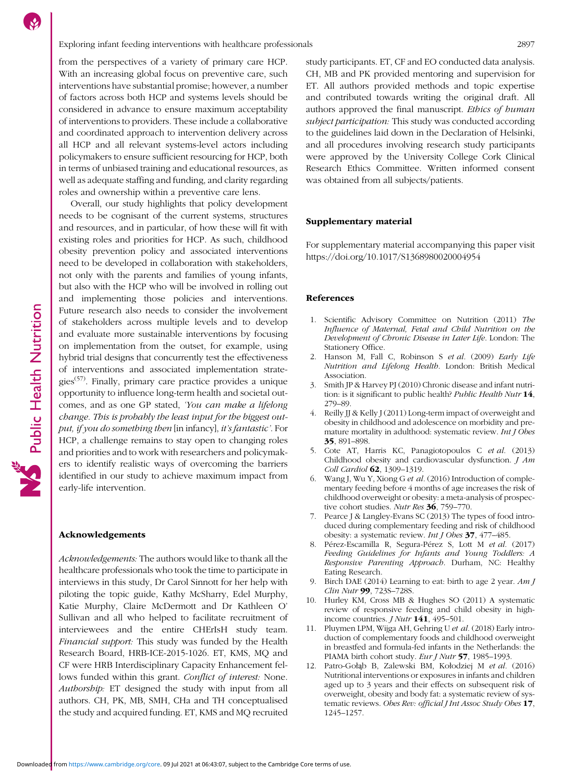<span id="page-8-0"></span>from the perspectives of a variety of primary care HCP. With an increasing global focus on preventive care, such interventions have substantial promise; however, a number of factors across both HCP and systems levels should be considered in advance to ensure maximum acceptability of interventions to providers. These include a collaborative and coordinated approach to intervention delivery across all HCP and all relevant systems-level actors including policymakers to ensure sufficient resourcing for HCP, both in terms of unbiased training and educational resources, as well as adequate staffing and funding, and clarity regarding roles and ownership within a preventive care lens.

Overall, our study highlights that policy development needs to be cognisant of the current systems, structures and resources, and in particular, of how these will fit with existing roles and priorities for HCP. As such, childhood obesity prevention policy and associated interventions need to be developed in collaboration with stakeholders, not only with the parents and families of young infants, but also with the HCP who will be involved in rolling out and implementing those policies and interventions. Future research also needs to consider the involvement of stakeholders across multiple levels and to develop and evaluate more sustainable interventions by focusing on implementation from the outset, for example, using hybrid trial designs that concurrently test the effectiveness of interventions and associated implementation strategies<sup> $(57)$  $(57)$  $(57)$ </sup>. Finally, primary care practice provides a unique opportunity to influence long-term health and societal outcomes, and as one GP stated, 'You can make a lifelong change. This is probably the least input for the biggest output, if you do something then [in infancy], it's fantastic'. For HCP, a challenge remains to stay open to changing roles and priorities and to work with researchers and policymakers to identify realistic ways of overcoming the barriers identified in our study to achieve maximum impact from early-life intervention.

#### Acknowledgements

Acknowledgements: The authors would like to thank all the healthcare professionals who took the time to participate in interviews in this study, Dr Carol Sinnott for her help with piloting the topic guide, Kathy McSharry, Edel Murphy, Katie Murphy, Claire McDermott and Dr Kathleen O' Sullivan and all who helped to facilitate recruitment of interviewees and the entire CHErIsH study team. Financial support: This study was funded by the Health Research Board, HRB-ICE-2015-1026. ET, KMS, MQ and CF were HRB Interdisciplinary Capacity Enhancement fellows funded within this grant. Conflict of interest: None. Authorship: ET designed the study with input from all authors. CH, PK, MB, SMH, CHa and TH conceptualised the study and acquired funding. ET, KMS and MQ recruited study participants. ET, CF and EO conducted data analysis. CH, MB and PK provided mentoring and supervision for ET. All authors provided methods and topic expertise and contributed towards writing the original draft. All authors approved the final manuscript. Ethics of human subject participation: This study was conducted according to the guidelines laid down in the Declaration of Helsinki, and all procedures involving research study participants were approved by the University College Cork Clinical Research Ethics Committee. Written informed consent was obtained from all subjects/patients.

#### Supplementary material

For supplementary material accompanying this paper visit <https://doi.org/10.1017/S1368980020004954>

#### References

- 1. Scientific Advisory Committee on Nutrition (2011) The Influence of Maternal, Fetal and Child Nutrition on the Development of Chronic Disease in Later Life. London: The Stationery Office.
- 2. Hanson M, Fall C, Robinson S et al. (2009) Early Life Nutrition and Lifelong Health. London: British Medical Association.
- 3. Smith JP & Harvey PJ (2010) Chronic disease and infant nutrition: is it significant to public health? Public Health Nutr 14, 279–89.
- 4. Reilly JJ & Kelly J (2011) Long-term impact of overweight and obesity in childhood and adolescence on morbidity and premature mortality in adulthood: systematic review. Int J Obes 35, 891–898.
- 5. Cote AT, Harris KC, Panagiotopoulos C et al. (2013) Childhood obesity and cardiovascular dysfunction. J Am Coll Cardiol 62, 1309–1319.
- 6. Wang J, Wu Y, Xiong G et al. (2016) Introduction of complementary feeding before 4 months of age increases the risk of childhood overweight or obesity: a meta-analysis of prospective cohort studies. Nutr Res 36, 759-770.
- 7. Pearce J & Langley-Evans SC (2013) The types of food introduced during complementary feeding and risk of childhood obesity: a systematic review. Int J Obes 37, 477–485.
- 8. Pérez-Escamilla R, Segura-Pérez S, Lott M et al. (2017) Feeding Guidelines for Infants and Young Toddlers: A Responsive Parenting Approach. Durham, NC: Healthy Eating Research.
- 9. Birch DAE (2014) Learning to eat: birth to age 2 year. Am J Clin Nutr 99, 723S–728S.
- 10. Hurley KM, Cross MB & Hughes SO (2011) A systematic review of responsive feeding and child obesity in highincome countries.  $J$  Nutr 141, 495-501.
- 11. Pluymen LPM, Wijga AH, Gehring U et al. (2018) Early introduction of complementary foods and childhood overweight in breastfed and formula-fed infants in the Netherlands: the PIAMA birth cohort study. Eur J Nutr 57, 1985–1993.
- 12. Patro-Gołąb B, Zalewski BM, Kołodziej M et al. (2016) Nutritional interventions or exposures in infants and children aged up to 3 years and their effects on subsequent risk of overweight, obesity and body fat: a systematic review of systematic reviews. Obes Rev: official J Int Assoc Study Obes 17, 1245–1257.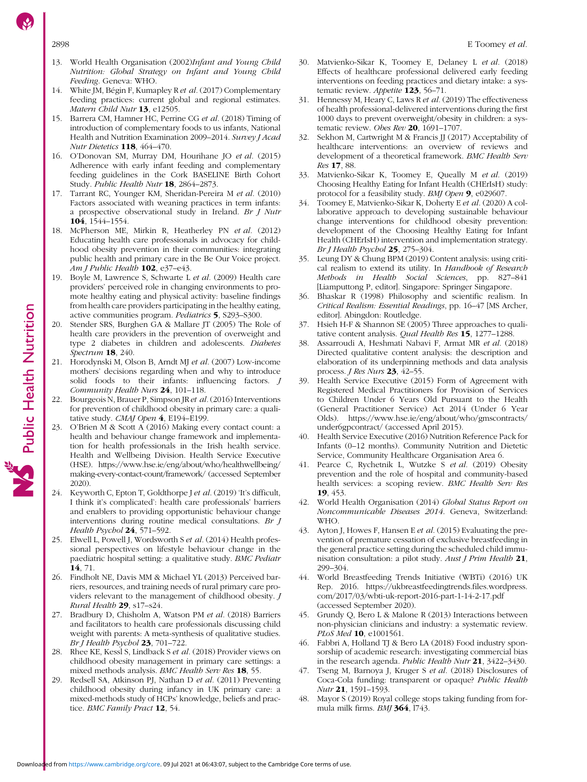- <span id="page-9-0"></span>13. World Health Organisation (2002)Infant and Young Child Nutrition: Global Strategy on Infant and Young Child Feeding. Geneva: WHO.
- 14. White JM, Bégin F, Kumapley R et al. (2017) Complementary feeding practices: current global and regional estimates. Matern Child Nutr 13, e12505.
- 15. Barrera CM, Hamner HC, Perrine CG et al. (2018) Timing of introduction of complementary foods to us infants, National Health and Nutrition Examination 2009–2014. Survey J Acad Nutr Dietetics 118, 464–470.
- 16. O'Donovan SM, Murray DM, Hourihane JO et al. (2015) Adherence with early infant feeding and complementary feeding guidelines in the Cork BASELINE Birth Cohort Study. Public Health Nutr 18, 2864–2873.
- 17. Tarrant RC, Younger KM, Sheridan-Pereira M et al. (2010) Factors associated with weaning practices in term infants: a prospective observational study in Ireland. Br J Nutr 104, 1544–1554.
- 18. McPherson ME, Mirkin R, Heatherley PN et al. (2012) Educating health care professionals in advocacy for childhood obesity prevention in their communities: integrating public health and primary care in the Be Our Voice project. Am J Public Health 102, e37-e43.
- 19. Boyle M, Lawrence S, Schwarte L et al. (2009) Health care providers' perceived role in changing environments to promote healthy eating and physical activity: baseline findings from health care providers participating in the healthy eating, active communities program. Pediatrics 5, S293–S300.
- 20. Stender SRS, Burghen GA & Mallare JT (2005) The Role of health care providers in the prevention of overweight and type 2 diabetes in children and adolescents. Diabetes Spectrum 18, 240.
- 21. Horodynski M, Olson B, Arndt MJ et al. (2007) Low-income mothers' decisions regarding when and why to introduce solid foods to their infants: influencing factors. J Community Health Nurs 24, 101–118.
- Bourgeois N, Brauer P, Simpson JR et al. (2016) Interventions for prevention of childhood obesity in primary care: a qualitative study. CMAJ Open 4, E194–E199.
- 23. O'Brien M & Scott A (2016) Making every contact count: a health and behaviour change framework and implementation for health professionals in the Irish health service. Health and Wellbeing Division. Health Service Executive (HSE). [https://www.hse.ie/eng/about/who/healthwellbeing/](https://www.hse.ie/eng/about/who/healthwellbeing/making-every-contact-count/framework/) [making-every-contact-count/framework/](https://www.hse.ie/eng/about/who/healthwellbeing/making-every-contact-count/framework/) (accessed September 2020).
- 24. Keyworth C, Epton T, Goldthorpe J et al. (2019) 'It's difficult, I think it's complicated': health care professionals' barriers and enablers to providing opportunistic behaviour change interventions during routine medical consultations. Br J Health Psychol 24, 571-592.
- 25. Elwell L, Powell J, Wordsworth S et al. (2014) Health professional perspectives on lifestyle behaviour change in the paediatric hospital setting: a qualitative study. BMC Pediatr 14, 71.
- 26. Findholt NE, Davis MM & Michael YL (2013) Perceived barriers, resources, and training needs of rural primary care providers relevant to the management of childhood obesity. J Rural Health 29, s17–s24.
- 27. Bradbury D, Chisholm A, Watson PM et al. (2018) Barriers and facilitators to health care professionals discussing child weight with parents: A meta-synthesis of qualitative studies. Br J Health Psychol  $23$ , 701-722.
- 28. Rhee KE, Kessl S, Lindback S et al. (2018) Provider views on childhood obesity management in primary care settings: a mixed methods analysis. BMC Health Serv Res 18, 55.
- 29. Redsell SA, Atkinson PJ, Nathan D et al. (2011) Preventing childhood obesity during infancy in UK primary care: a mixed-methods study of HCPs' knowledge, beliefs and practice. BMC Family Pract 12, 54.
- 30. Matvienko-Sikar K, Toomey E, Delaney L et al. (2018) Effects of healthcare professional delivered early feeding interventions on feeding practices and dietary intake: a systematic review. Appetite 123, 56-71.
- 31. Hennessy M, Heary C, Laws R et al. (2019) The effectiveness of health professional-delivered interventions during the first 1000 days to prevent overweight/obesity in children: a systematic review. Obes Rev 20, 1691-1707.
- 32. Sekhon M, Cartwright M & Francis JJ (2017) Acceptability of healthcare interventions: an overview of reviews and development of a theoretical framework. BMC Health Serv Res 17, 88.
- 33. Matvienko-Sikar K, Toomey E, Queally M et al. (2019) Choosing Healthy Eating for Infant Health (CHErIsH) study: protocol for a feasibility study. BMJ Open 9, e029607.
- Toomey E, Matvienko-Sikar K, Doherty E et al. (2020) A collaborative approach to developing sustainable behaviour change interventions for childhood obesity prevention: development of the Choosing Healthy Eating for Infant Health (CHErIsH) intervention and implementation strategy. Br J Health Psychol 25, 275-304.
- 35. Leung DY & Chung BPM (2019) Content analysis: using critical realism to extend its utility. In Handbook of Research Methods in Health Social Sciences, pp. 827–841 [Liamputtong P, editor]. Singapore: Springer Singapore.
- Bhaskar R (1998) Philosophy and scientific realism. In Critical Realism: Essential Readings, pp. 16–47 [MS Archer, editor]. Abingdon: Routledge.
- 37. Hsieh H-F & Shannon SE (2005) Three approaches to qualitative content analysis. Qual Health Res 15, 1277-1288.
- 38. Assarroudi A, Heshmati Nabavi F, Armat MR et al. (2018) Directed qualitative content analysis: the description and elaboration of its underpinning methods and data analysis process. J Res Nurs 23, 42–55.
- 39. Health Service Executive (2015) Form of Agreement with Registered Medical Practitioners for Provision of Services to Children Under 6 Years Old Pursuant to the Health (General Practitioner Service) Act 2014 (Under 6 Year Olds). [https://www.hse.ie/eng/about/who/gmscontracts/](https://www.hse.ie/eng/about/who/gmscontracts/under6gpcontract/) [under6gpcontract/](https://www.hse.ie/eng/about/who/gmscontracts/under6gpcontract/) (accessed April 2015).
- 40. Health Service Executive (2016) Nutrition Reference Pack for Infants (0–12 months). Community Nutrition and Dietetic Service, Community Healthcare Organisation Area 6.
- 41. Pearce C, Rychetnik L, Wutzke S et al. (2019) Obesity prevention and the role of hospital and community-based health services: a scoping review. BMC Health Serv Res 19, 453.
- 42. World Health Organisation (2014) Global Status Report on Noncommunicable Diseases 2014. Geneva, Switzerland: WHO.
- 43. Ayton J, Howes F, Hansen E et al. (2015) Evaluating the prevention of premature cessation of exclusive breastfeeding in the general practice setting during the scheduled child immunisation consultation: a pilot study. Aust J Prim Health 21, 299–304.
- 44. World Breastfeeding Trends Initiative (WBTi) (2016) UK Rep. 2016. [https://ukbreastfeedingtrends.files.wordpress.](https://ukbreastfeedingtrends.files.wordpress.com/2017/03/wbti-uk-report-2016-part-1-14-2-17.pdf) [com/2017/03/wbti-uk-report-2016-part-1-14-2-17.pdf](https://ukbreastfeedingtrends.files.wordpress.com/2017/03/wbti-uk-report-2016-part-1-14-2-17.pdf) (accessed September 2020).
- 45. Grundy Q, Bero L & Malone R (2013) Interactions between non-physician clinicians and industry: a systematic review. PLoS Med 10, e1001561.
- 46. Fabbri A, Holland TJ & Bero LA (2018) Food industry sponsorship of academic research: investigating commercial bias in the research agenda. Public Health Nutr 21, 3422–3430.
- 47. Tseng M, Barnoya J, Kruger S et al. (2018) Disclosures of Coca-Cola funding: transparent or opaque? Public Health Nutr 21, 1591–1593.
- 48. Mayor S (2019) Royal college stops taking funding from formula milk firms. BMJ 364, l743.